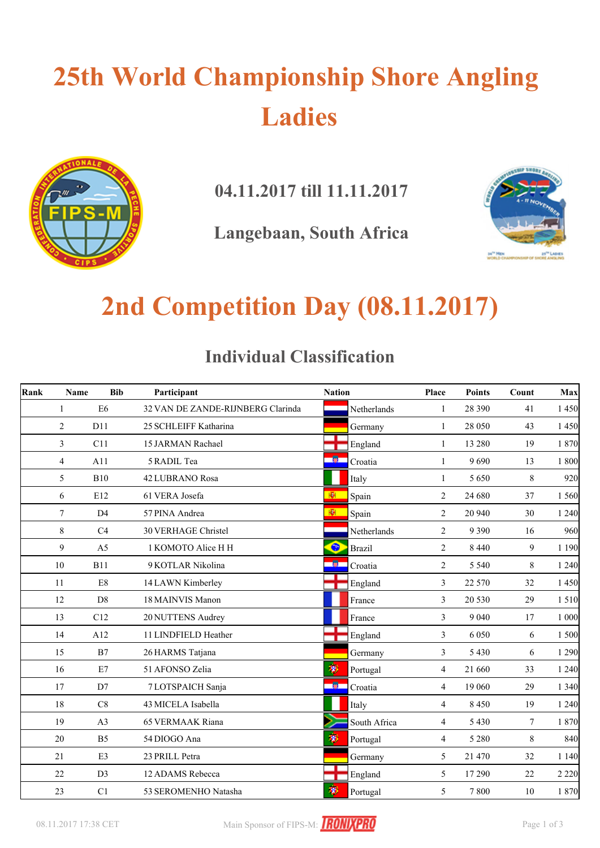# **25th World Championship Shore Angling Ladies**



**04.11.2017 till 11.11.2017**

**Langebaan, South Africa**



## **2nd Competition Day (08.11.2017)**

#### **Individual Classification**

| Rank | Name           | <b>Bib</b>     | Participant                       | <b>Nation</b> |               | Place          | <b>Points</b> | Count  | Max     |
|------|----------------|----------------|-----------------------------------|---------------|---------------|----------------|---------------|--------|---------|
|      | 1              | E <sub>6</sub> | 32 VAN DE ZANDE-RIJNBERG Clarinda |               | Netherlands   | 1              | 28 390        | 41     | 1 450   |
|      | $\overline{2}$ | D11            | 25 SCHLEIFF Katharina             |               | Germany       | $\mathbf{1}$   | 28 050        | 43     | 1 4 5 0 |
|      | 3              | C11            | 15 JARMAN Rachael                 |               | England       | $\mathbf{1}$   | 13 280        | 19     | 1 870   |
|      | 4              | A11            | 5 RADIL Tea                       |               | Croatia       | $\mathbf{1}$   | 9690          | 13     | 1 800   |
|      | 5              | <b>B10</b>     | <b>42 LUBRANO Rosa</b>            |               | Italy         | 1              | 5650          | 8      | 920     |
|      | 6              | E12            | 61 VERA Josefa                    | 图             | Spain         | 2              | 24 680        | 37     | 1 560   |
|      | $\tau$         | D <sub>4</sub> | 57 PINA Andrea                    | 图             | Spain         | 2              | 20 940        | 30     | 1240    |
|      | 8              | C4             | <b>30 VERHAGE Christel</b>        |               | Netherlands   | 2              | 9 3 9 0       | 16     | 960     |
|      | 9              | A <sub>5</sub> | 1 KOMOTO Alice H H                | $\bullet$     | <b>Brazil</b> | 2              | 8 4 4 0       | 9      | 1 1 9 0 |
|      | 10             | <b>B11</b>     | 9 KOTLAR Nikolina                 | 一箇            | Croatia       | 2              | 5 5 4 0       | 8      | 1240    |
|      | 11             | $\mathrm{E}8$  | 14 LAWN Kimberley                 |               | England       | 3              | 22 570        | 32     | 1 4 5 0 |
|      | 12             | D <sub>8</sub> | 18 MAINVIS Manon                  |               | France        | $\mathfrak{Z}$ | 20 530        | 29     | 1 5 1 0 |
|      | 13             | C12            | 20 NUTTENS Audrey                 |               | France        | 3              | 9 0 4 0       | 17     | 1 000   |
|      | 14             | A12            | 11 LINDFIELD Heather              |               | England       | 3              | 6 0 5 0       | 6      | 1 500   |
|      | 15             | B7             | 26 HARMS Tatjana                  |               | Germany       | 3              | 5 4 3 0       | 6      | 1 2 9 0 |
|      | 16             | E7             | 51 AFONSO Zelia                   | H             | Portugal      | $\overline{4}$ | 21 660        | 33     | 1 2 4 0 |
|      | 17             | D7             | 7 LOTSPAICH Sanja                 | 一箇            | Croatia       | $\overline{4}$ | 19 060        | 29     | 1 3 4 0 |
|      | 18             | C8             | 43 MICELA Isabella                |               | Italy         | $\overline{4}$ | 8450          | 19     | 1240    |
|      | 19             | A <sub>3</sub> | <b>65 VERMAAK Riana</b>           |               | South Africa  | 4              | 5 4 3 0       | $\tau$ | 1 870   |
|      | 20             | B <sub>5</sub> | 54 DIOGO Ana                      | 渺             | Portugal      | 4              | 5 2 8 0       | 8      | 840     |
|      | 21             | E3             | 23 PRILL Petra                    |               | Germany       | 5              | 21 470        | 32     | 1140    |
|      | 22             | D <sub>3</sub> | 12 ADAMS Rebecca                  |               | England       | 5              | 17 290        | 22     | 2 2 2 0 |
|      | 23             | C1             | 53 SEROMENHO Natasha              | 溷             | Portugal      | 5              | 7800          | 10     | 1 870   |

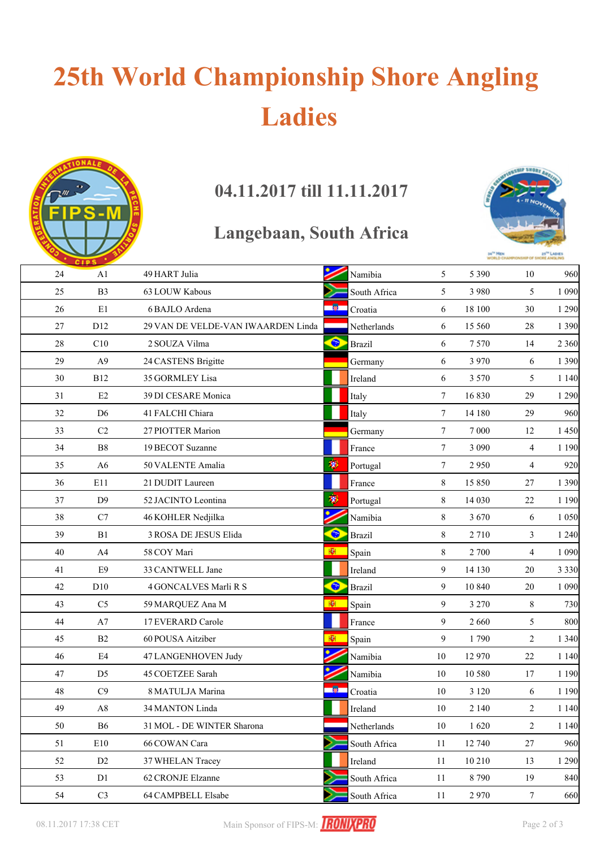# **25th World Championship Shore Angling Ladies**



### **04.11.2017 till 11.11.2017**

### **Langebaan, South Africa**



|        | <b>CIPS</b>    |                                    |           |               |                 | <b>MIGRITD CHW</b> |                | <b>P OF SHORE ANGLING</b> |
|--------|----------------|------------------------------------|-----------|---------------|-----------------|--------------------|----------------|---------------------------|
| 24     | A1             | 49 HART Julia                      |           | Namibia       | 5               | 5 3 9 0            | 10             | 960                       |
| 25     | B <sub>3</sub> | 63 LOUW Kabous                     |           | South Africa  | 5               | 3 9 8 0            | 5              | 1 0 9 0                   |
| 26     | E1             | 6 BAJLO Ardena                     |           | Croatia       | 6               | 18 100             | 30             | 1 2 9 0                   |
| 27     | D12            | 29 VAN DE VELDE-VAN IWAARDEN Linda |           | Netherlands   | 6               | 15 560             | 28             | 1 3 9 0                   |
| $28\,$ | C10            | 2 SOUZA Vilma                      | $\bullet$ | <b>Brazil</b> | 6               | 7570               | 14             | 2 3 6 0                   |
| 29     | A <sub>9</sub> | 24 CASTENS Brigitte                |           | Germany       | 6               | 3 9 7 0            | 6              | 1 3 9 0                   |
| 30     | <b>B12</b>     | 35 GORMLEY Lisa                    |           | Ireland       | 6               | 3 5 7 0            | 5              | 1 1 4 0                   |
| 31     | E2             | 39 DI CESARE Monica                |           | Italy         | 7               | 16830              | 29             | 1 2 9 0                   |
| 32     | D <sub>6</sub> | 41 FALCHI Chiara                   |           | Italy         | $\tau$          | 14 180             | 29             | 960                       |
| 33     | $\rm{C2}$      | 27 PIOTTER Marion                  |           | Germany       | $7\phantom{.0}$ | 7 000              | 12             | 1450                      |
| 34     | B8             | 19 BECOT Suzanne                   |           | France        | $\tau$          | 3 0 9 0            | $\overline{4}$ | 1 1 9 0                   |
| 35     | A6             | 50 VALENTE Amalia                  | 聊         | Portugal      | 7               | 2950               | 4              | 920                       |
| 36     | E11            | 21 DUDIT Laureen                   |           | France        | 8               | 15 850             | 27             | 1 3 9 0                   |
| 37     | D <sub>9</sub> | 52 JACINTO Leontina                | 聊         | Portugal      | 8               | 14 030             | 22             | 1 1 9 0                   |
| 38     | C7             | 46 KOHLER Nedjilka                 |           | Namibia       | 8               | 3 6 7 0            | 6              | 1 0 5 0                   |
| 39     | B1             | 3 ROSA DE JESUS Elida              | $\bullet$ | <b>Brazil</b> | 8               | 2710               | 3              | 1 2 4 0                   |
| 40     | A4             | 58 COY Mari                        | 劚         | Spain         | 8               | 2 700              | $\overline{4}$ | 1 0 9 0                   |
| 41     | E9             | 33 CANTWELL Jane                   |           | Ireland       | 9               | 14 130             | 20             | 3 3 3 0                   |
| 42     | D10            | 4 GONCALVES Marli R S              | ۰         | <b>Brazil</b> | 9               | 10 840             | 20             | 1 0 9 0                   |
| 43     | C <sub>5</sub> | 59 MARQUEZ Ana M                   | ЮI        | Spain         | 9               | 3 2 7 0            | 8              | 730                       |
| 44     | A7             | 17 EVERARD Carole                  |           | France        | 9               | 2 6 6 0            | 5              | 800                       |
| 45     | B2             | 60 POUSA Aitziber                  | 图         | Spain         | 9               | 1790               | 2              | 1 3 4 0                   |
| 46     | E4             | 47 LANGENHOVEN Judy                |           | Namibia       | 10              | 12 970             | 22             | 1 1 4 0                   |
| 47     | D <sub>5</sub> | 45 COETZEE Sarah                   |           | Namibia       | 10              | 10 580             | 17             | 1 1 9 0                   |
| 48     | C9             | 8 MATULJA Marina                   | - 60      | Croatia       | 10              | 3 1 2 0            | 6              | 1 1 9 0                   |
| 49     | $\mathbf{A}8$  | 34 MANTON Linda                    |           | Ireland       | 10              | 2 1 4 0            | 2              | 1 1 4 0                   |
| 50     | <b>B6</b>      | 31 MOL - DE WINTER Sharona         |           | Netherlands   | 10              | 1620               | 2              | 1 1 4 0                   |
| 51     | E10            | 66 COWAN Cara                      |           | South Africa  | 11              | 12 740             | 27             | 960                       |
| 52     | D2             | 37 WHELAN Tracey                   |           | Ireland       | 11              | 10 210             | 13             | 1 2 9 0                   |
| 53     | D1             | 62 CRONJE Elzanne                  |           | South Africa  | 11              | 8790               | 19             | 840                       |
| 54     | C <sub>3</sub> | 64 CAMPBELL Elsabe                 |           | South Africa  | 11              | 2970               | $\tau$         | 660                       |